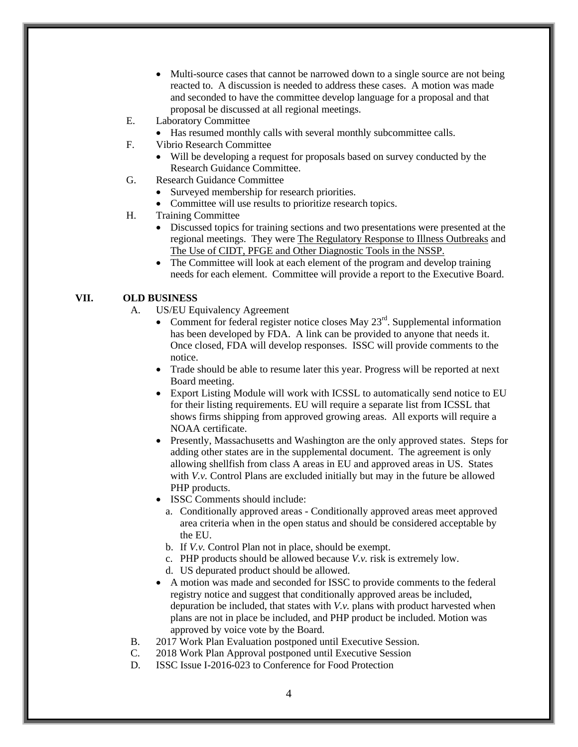- Multi-source cases that cannot be narrowed down to a single source are not being reacted to. A discussion is needed to address these cases. A motion was made and seconded to have the committee develop language for a proposal and that proposal be discussed at all regional meetings.
- E. Laboratory Committee
	- Has resumed monthly calls with several monthly subcommittee calls.
- F. Vibrio Research Committee
	- Will be developing a request for proposals based on survey conducted by the Research Guidance Committee.
- G. Research Guidance Committee
	- Surveyed membership for research priorities.
	- Committee will use results to prioritize research topics.
- H. Training Committee
	- Discussed topics for training sections and two presentations were presented at the regional meetings. They were The Regulatory Response to Illness Outbreaks and The Use of CIDT, PFGE and Other Diagnostic Tools in the NSSP.
	- The Committee will look at each element of the program and develop training needs for each element. Committee will provide a report to the Executive Board.

## **VII. OLD BUSINESS**

- A. US/EU Equivalency Agreement
	- Comment for federal register notice closes May  $23<sup>rd</sup>$ . Supplemental information has been developed by FDA. A link can be provided to anyone that needs it. Once closed, FDA will develop responses. ISSC will provide comments to the notice.
	- Trade should be able to resume later this year. Progress will be reported at next Board meeting.
	- Export Listing Module will work with ICSSL to automatically send notice to EU for their listing requirements. EU will require a separate list from ICSSL that shows firms shipping from approved growing areas. All exports will require a NOAA certificate.
	- Presently, Massachusetts and Washington are the only approved states. Steps for adding other states are in the supplemental document. The agreement is only allowing shellfish from class A areas in EU and approved areas in US. States with *V.v.* Control Plans are excluded initially but may in the future be allowed PHP products.
	- ISSC Comments should include:
		- a. Conditionally approved areas Conditionally approved areas meet approved area criteria when in the open status and should be considered acceptable by the EU.
		- b. If *V.v.* Control Plan not in place, should be exempt.
		- c. PHP products should be allowed because *V.v.* risk is extremely low.
		- d. US depurated product should be allowed.
	- A motion was made and seconded for ISSC to provide comments to the federal registry notice and suggest that conditionally approved areas be included, depuration be included, that states with *V.v.* plans with product harvested when plans are not in place be included, and PHP product be included. Motion was approved by voice vote by the Board.
- B. 2017 Work Plan Evaluation postponed until Executive Session.
- C. 2018 Work Plan Approval postponed until Executive Session
- D. ISSC Issue I-2016-023 to Conference for Food Protection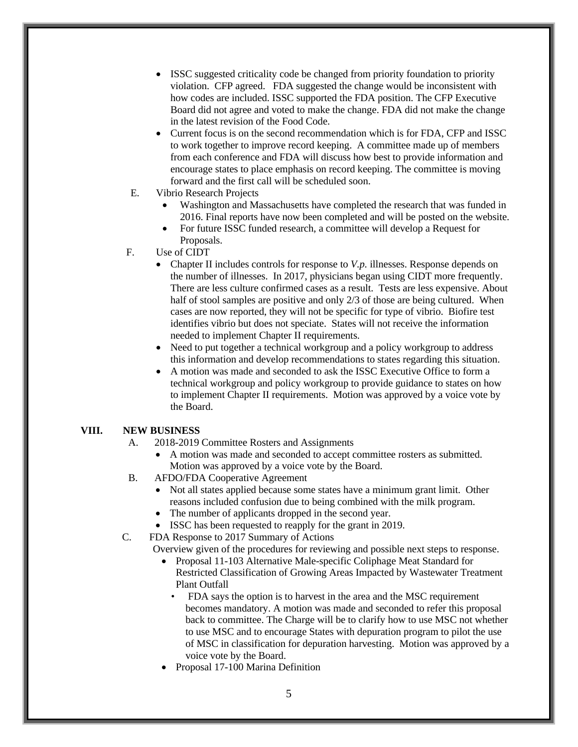- ISSC suggested criticality code be changed from priority foundation to priority violation. CFP agreed. FDA suggested the change would be inconsistent with how codes are included. ISSC supported the FDA position. The CFP Executive Board did not agree and voted to make the change. FDA did not make the change in the latest revision of the Food Code.
- Current focus is on the second recommendation which is for FDA, CFP and ISSC to work together to improve record keeping. A committee made up of members from each conference and FDA will discuss how best to provide information and encourage states to place emphasis on record keeping. The committee is moving forward and the first call will be scheduled soon.
- E. Vibrio Research Projects
	- Washington and Massachusetts have completed the research that was funded in 2016. Final reports have now been completed and will be posted on the website.
	- For future ISSC funded research, a committee will develop a Request for Proposals.
- F. Use of CIDT
	- Chapter II includes controls for response to *V.p.* illnesses. Response depends on the number of illnesses. In 2017, physicians began using CIDT more frequently. There are less culture confirmed cases as a result. Tests are less expensive. About half of stool samples are positive and only 2/3 of those are being cultured. When cases are now reported, they will not be specific for type of vibrio. Biofire test identifies vibrio but does not speciate. States will not receive the information needed to implement Chapter II requirements.
	- Need to put together a technical workgroup and a policy workgroup to address this information and develop recommendations to states regarding this situation.
	- A motion was made and seconded to ask the ISSC Executive Office to form a technical workgroup and policy workgroup to provide guidance to states on how to implement Chapter II requirements. Motion was approved by a voice vote by the Board.

## **VIII. NEW BUSINESS**

- A. 2018-2019 Committee Rosters and Assignments
	- A motion was made and seconded to accept committee rosters as submitted. Motion was approved by a voice vote by the Board.
- B. AFDO/FDA Cooperative Agreement
	- Not all states applied because some states have a minimum grant limit. Other reasons included confusion due to being combined with the milk program.
	- The number of applicants dropped in the second year.
	- ISSC has been requested to reapply for the grant in 2019.
- C. FDA Response to 2017 Summary of Actions

Overview given of the procedures for reviewing and possible next steps to response.

- Proposal 11-103 Alternative Male-specific Coliphage Meat Standard for Restricted Classification of Growing Areas Impacted by Wastewater Treatment Plant Outfall
	- FDA says the option is to harvest in the area and the MSC requirement becomes mandatory. A motion was made and seconded to refer this proposal back to committee. The Charge will be to clarify how to use MSC not whether to use MSC and to encourage States with depuration program to pilot the use of MSC in classification for depuration harvesting. Motion was approved by a voice vote by the Board.
- Proposal 17-100 Marina Definition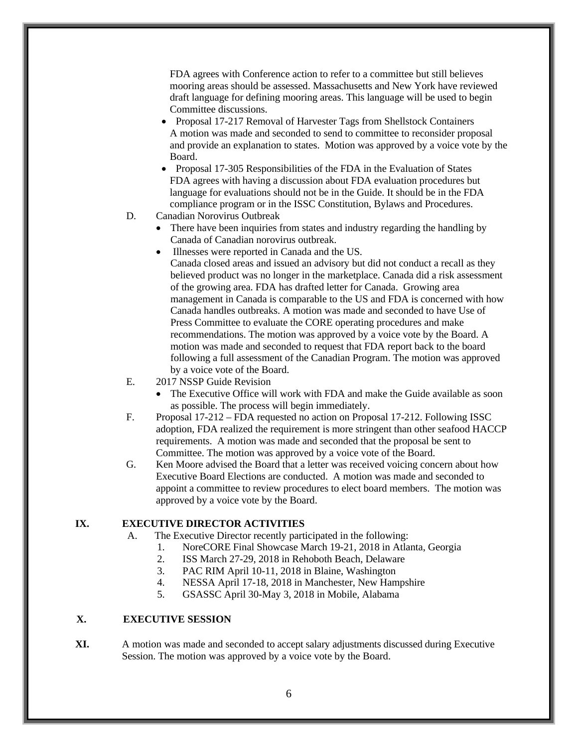FDA agrees with Conference action to refer to a committee but still believes mooring areas should be assessed. Massachusetts and New York have reviewed draft language for defining mooring areas. This language will be used to begin Committee discussions.

- Proposal 17-217 Removal of Harvester Tags from Shellstock Containers A motion was made and seconded to send to committee to reconsider proposal and provide an explanation to states. Motion was approved by a voice vote by the Board.
- Proposal 17-305 Responsibilities of the FDA in the Evaluation of States FDA agrees with having a discussion about FDA evaluation procedures but language for evaluations should not be in the Guide. It should be in the FDA compliance program or in the ISSC Constitution, Bylaws and Procedures.
- D. Canadian Norovirus Outbreak
	- There have been inquiries from states and industry regarding the handling by Canada of Canadian norovirus outbreak.
	- Illnesses were reported in Canada and the US. Canada closed areas and issued an advisory but did not conduct a recall as they believed product was no longer in the marketplace. Canada did a risk assessment of the growing area. FDA has drafted letter for Canada. Growing area management in Canada is comparable to the US and FDA is concerned with how Canada handles outbreaks. A motion was made and seconded to have Use of Press Committee to evaluate the CORE operating procedures and make recommendations. The motion was approved by a voice vote by the Board. A motion was made and seconded to request that FDA report back to the board following a full assessment of the Canadian Program. The motion was approved by a voice vote of the Board.
- E. 2017 NSSP Guide Revision
	- The Executive Office will work with FDA and make the Guide available as soon as possible. The process will begin immediately.
- F. Proposal 17-212 FDA requested no action on Proposal 17-212. Following ISSC adoption, FDA realized the requirement is more stringent than other seafood HACCP requirements. A motion was made and seconded that the proposal be sent to Committee. The motion was approved by a voice vote of the Board.
- G. Ken Moore advised the Board that a letter was received voicing concern about how Executive Board Elections are conducted. A motion was made and seconded to appoint a committee to review procedures to elect board members. The motion was approved by a voice vote by the Board.

## **IX. EXECUTIVE DIRECTOR ACTIVITIES**

- A. The Executive Director recently participated in the following:
	- 1. NoreCORE Final Showcase March 19-21, 2018 in Atlanta, Georgia
	- 2. ISS March 27-29, 2018 in Rehoboth Beach, Delaware
	- 3. PAC RIM April 10-11, 2018 in Blaine, Washington
	- 4. NESSA April 17-18, 2018 in Manchester, New Hampshire
	- 5. GSASSC April 30-May 3, 2018 in Mobile, Alabama

## **X. EXECUTIVE SESSION**

**XI.** A motion was made and seconded to accept salary adjustments discussed during Executive Session. The motion was approved by a voice vote by the Board.